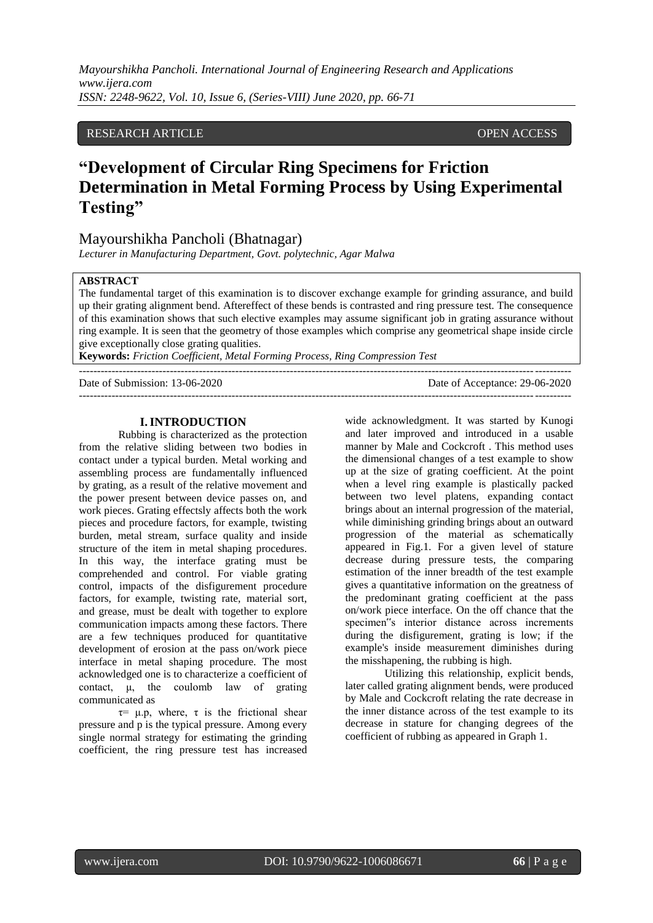## RESEARCH ARTICLE **CONSERVERS** OPEN ACCESS

# **"Development of Circular Ring Specimens for Friction Determination in Metal Forming Process by Using Experimental Testing"**

## Mayourshikha Pancholi (Bhatnagar)

*Lecturer in Manufacturing Department, Govt. polytechnic, Agar Malwa*

## **ABSTRACT**

The fundamental target of this examination is to discover exchange example for grinding assurance, and build up their grating alignment bend. Aftereffect of these bends is contrasted and ring pressure test. The consequence of this examination shows that such elective examples may assume significant job in grating assurance without ring example. It is seen that the geometry of those examples which comprise any geometrical shape inside circle give exceptionally close grating qualities.

**Keywords:** *Friction Coefficient, Metal Forming Process, Ring Compression Test*

---------------------------------------------------------------------------------------------------------------------------------------

Date of Submission: 13-06-2020 Date of Acceptance: 29-06-2020 ---------------------------------------------------------------------------------------------------------------------------------------

#### **I.INTRODUCTION**

Rubbing is characterized as the protection from the relative sliding between two bodies in contact under a typical burden. Metal working and assembling process are fundamentally influenced by grating, as a result of the relative movement and the power present between device passes on, and work pieces. Grating effectsly affects both the work pieces and procedure factors, for example, twisting burden, metal stream, surface quality and inside structure of the item in metal shaping procedures. In this way, the interface grating must be comprehended and control. For viable grating control, impacts of the disfigurement procedure factors, for example, twisting rate, material sort, and grease, must be dealt with together to explore communication impacts among these factors. There are a few techniques produced for quantitative development of erosion at the pass on/work piece interface in metal shaping procedure. The most acknowledged one is to characterize a coefficient of contact, μ, the coulomb law of grating communicated as

 $\tau$ =  $\mu$ .p, where,  $\tau$  is the frictional shear pressure and p is the typical pressure. Among every single normal strategy for estimating the grinding coefficient, the ring pressure test has increased

wide acknowledgment. It was started by Kunogi and later improved and introduced in a usable manner by Male and Cockcroft . This method uses the dimensional changes of a test example to show up at the size of grating coefficient. At the point when a level ring example is plastically packed between two level platens, expanding contact brings about an internal progression of the material, while diminishing grinding brings about an outward progression of the material as schematically appeared in Fig.1. For a given level of stature decrease during pressure tests, the comparing estimation of the inner breadth of the test example gives a quantitative information on the greatness of the predominant grating coefficient at the pass on/work piece interface. On the off chance that the specimen"s interior distance across increments during the disfigurement, grating is low; if the example's inside measurement diminishes during the misshapening, the rubbing is high.

Utilizing this relationship, explicit bends, later called grating alignment bends, were produced by Male and Cockcroft relating the rate decrease in the inner distance across of the test example to its decrease in stature for changing degrees of the coefficient of rubbing as appeared in Graph 1.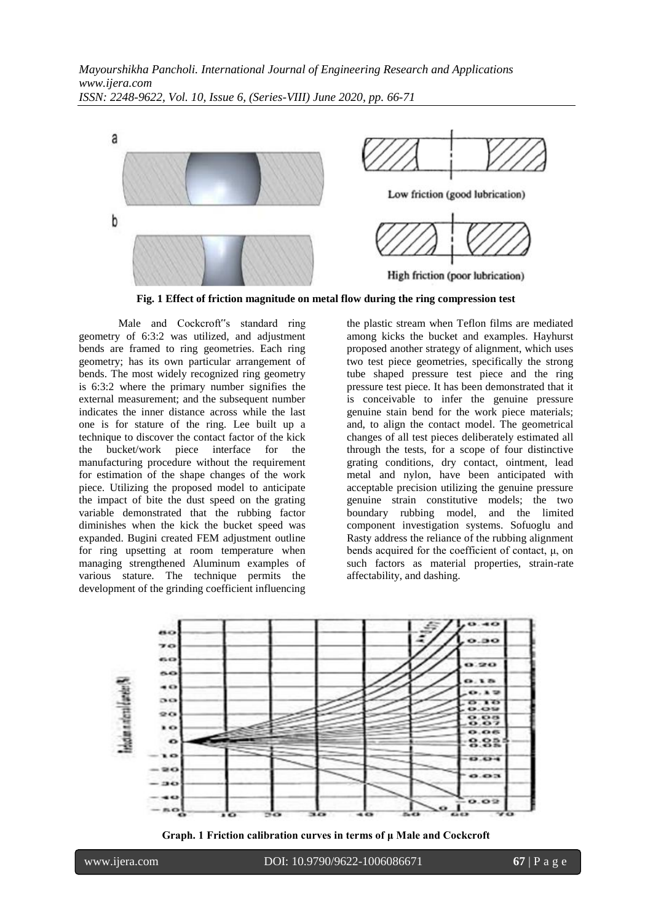

**Fig. 1 Effect of friction magnitude on metal flow during the ring compression test**

Male and Cockcroft"s standard ring geometry of 6:3:2 was utilized, and adjustment bends are framed to ring geometries. Each ring geometry; has its own particular arrangement of bends. The most widely recognized ring geometry is 6:3:2 where the primary number signifies the external measurement; and the subsequent number indicates the inner distance across while the last one is for stature of the ring. Lee built up a technique to discover the contact factor of the kick<br>the bucket/work piece interface for the the bucket/work piece interface for the manufacturing procedure without the requirement for estimation of the shape changes of the work piece. Utilizing the proposed model to anticipate the impact of bite the dust speed on the grating variable demonstrated that the rubbing factor diminishes when the kick the bucket speed was expanded. Bugini created FEM adjustment outline for ring upsetting at room temperature when managing strengthened Aluminum examples of various stature. The technique permits the development of the grinding coefficient influencing the plastic stream when Teflon films are mediated among kicks the bucket and examples. Hayhurst proposed another strategy of alignment, which uses two test piece geometries, specifically the strong tube shaped pressure test piece and the ring pressure test piece. It has been demonstrated that it is conceivable to infer the genuine pressure genuine stain bend for the work piece materials; and, to align the contact model. The geometrical changes of all test pieces deliberately estimated all through the tests, for a scope of four distinctive grating conditions, dry contact, ointment, lead metal and nylon, have been anticipated with acceptable precision utilizing the genuine pressure genuine strain constitutive models; the two boundary rubbing model, and the limited component investigation systems. Sofuoglu and Rasty address the reliance of the rubbing alignment bends acquired for the coefficient of contact, μ, on such factors as material properties, strain-rate affectability, and dashing.



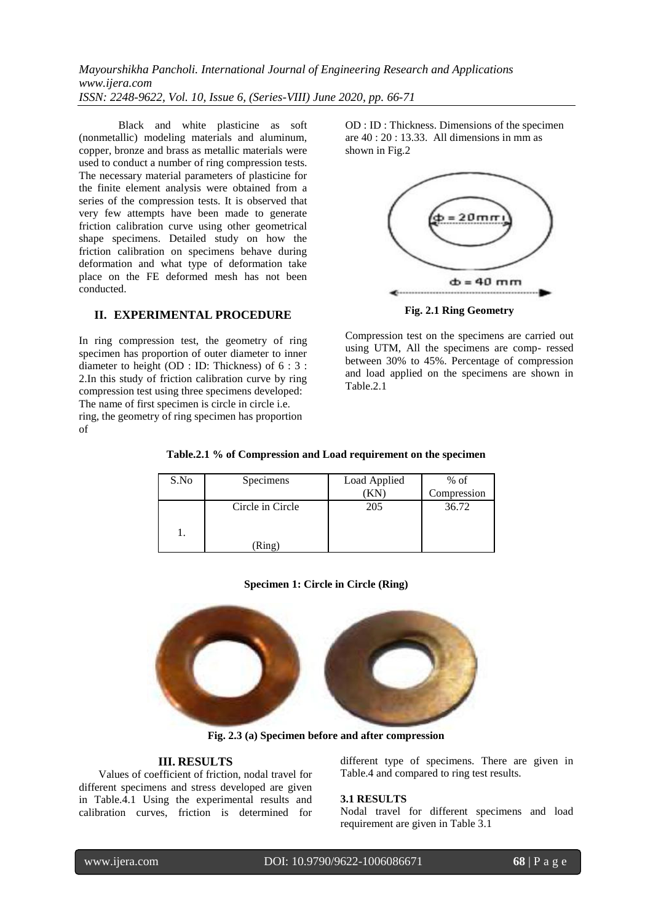Black and white plasticine as soft (nonmetallic) modeling materials and aluminum, copper, bronze and brass as metallic materials were used to conduct a number of ring compression tests. The necessary material parameters of plasticine for the finite element analysis were obtained from a series of the compression tests. It is observed that very few attempts have been made to generate friction calibration curve using other geometrical shape specimens. Detailed study on how the friction calibration on specimens behave during deformation and what type of deformation take place on the FE deformed mesh has not been conducted.

## **II. EXPERIMENTAL PROCEDURE**

In ring compression test, the geometry of ring specimen has proportion of outer diameter to inner diameter to height (OD : ID: Thickness) of 6 : 3 : 2.In this study of friction calibration curve by ring compression test using three specimens developed: The name of first specimen is circle in circle i.e. ring, the geometry of ring specimen has proportion of

OD : ID : Thickness. Dimensions of the specimen are 40 : 20 : 13.33. All dimensions in mm as shown in Fig.2



Compression test on the specimens are carried out using UTM, All the specimens are comp- ressed between 30% to 45%. Percentage of compression and load applied on the specimens are shown in Table.2.1

|  |  |  |  | Table.2.1 % of Compression and Load requirement on the specimen |  |  |
|--|--|--|--|-----------------------------------------------------------------|--|--|
|--|--|--|--|-----------------------------------------------------------------|--|--|

| S.No | Specimens                  | Load Applied<br>(KN | $%$ of<br>Compression |
|------|----------------------------|---------------------|-----------------------|
|      | Circle in Circle<br>(Ring) | 205                 | 36.72                 |

### **Specimen 1: Circle in Circle (Ring)**



**Fig. 2.3 (a) Specimen before and after compression**

## **III. RESULTS**

Values of coefficient of friction, nodal travel for different specimens and stress developed are given in Table.4.1 Using the experimental results and calibration curves, friction is determined for

different type of specimens. There are given in Table.4 and compared to ring test results.

### **3.1 RESULTS**

Nodal travel for different specimens and load requirement are given in Table 3.1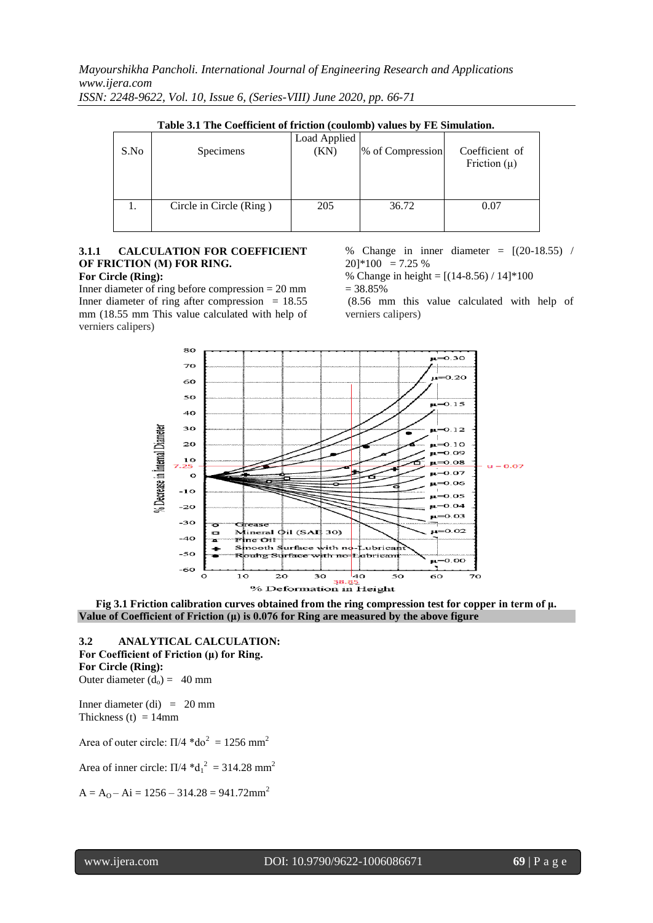| Table 3.1 The Coefficient of friction (coulomb) values by FE Simulation. |                         |                      |                  |                                    |
|--------------------------------------------------------------------------|-------------------------|----------------------|------------------|------------------------------------|
| S.No                                                                     | Specimens               | Load Applied<br>(KN) | % of Compression | Coefficient of<br>Friction $(\mu)$ |
|                                                                          | Circle in Circle (Ring) | 205                  | 36.72            | 0.07                               |

|  | Table 3.1 The Coefficient of friction (coulomb) values by FE Simulation. |
|--|--------------------------------------------------------------------------|
|--|--------------------------------------------------------------------------|

# **3.1.1 CALCULATION FOR COEFFICIENT OF FRICTION (Μ) FOR RING.**

## **For Circle (Ring):**

Inner diameter of ring before compression = 20 mm Inner diameter of ring after compression  $= 18.55$ mm (18.55 mm This value calculated with help of verniers calipers)

% Change in inner diameter =  $[(20-18.55)$  /  $20\frac{1}{100} = 7.25\%$ 

% Change in height =  $[(14-8.56)/14]*100$ 

= 38.85% (8.56 mm this value calculated with help of verniers calipers)



**Fig 3.1 Friction calibration curves obtained from the ring compression test for copper in term of μ. Value of Coefficient of Friction (μ) is 0.076 for Ring are measured by the above figure**

**3.2 ANALYTICAL CALCULATION: For Coefficient of Friction (μ) for Ring. For Circle (Ring):** Outer diameter  $(d_0) = 40$  mm

Inner diameter (di)  $= 20$  mm Thickness (t)  $= 14$ mm

Area of outer circle:  $\Pi/4 * d\sigma^2 = 1256$  mm<sup>2</sup>

Area of inner circle:  $\Pi/4$  \*d<sub>1</sub><sup>2</sup> = 314.28 mm<sup>2</sup>

 $A = A<sub>0</sub> - Ai = 1256 - 314.28 = 941.72mm<sup>2</sup>$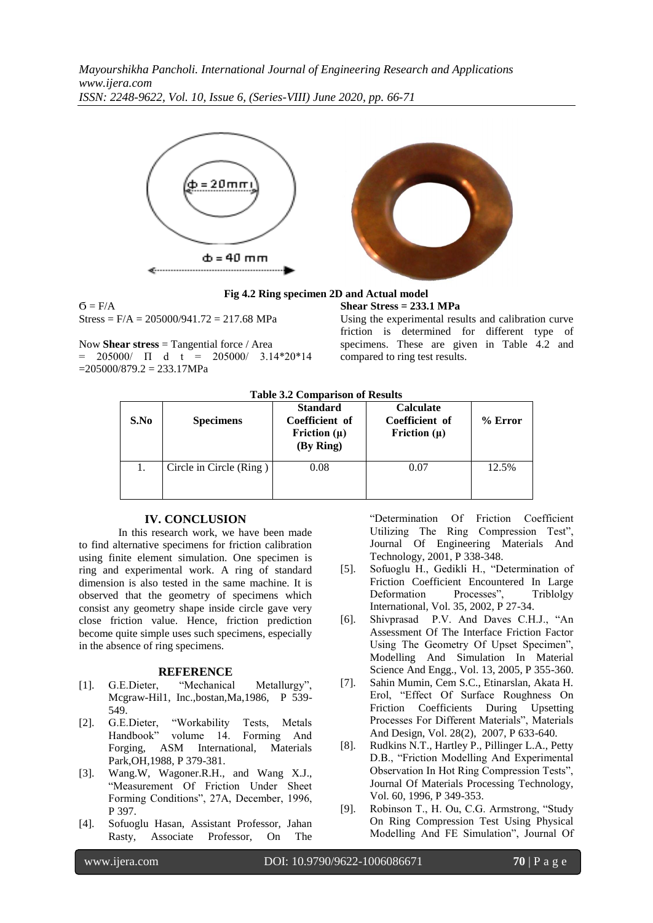



#### **Fig 4.2 Ring specimen 2D and Actual model Shear Stress = 233.1 MPa**

 $\mathbf{G} = \mathbf{F}/\mathbf{A}$  $Stress = F/A = 205000/941.72 = 217.68 MPa$ 

Now **Shear stress** = Tangential force / Area  $= 205000 / \Pi$  d t  $= 205000 / 3.14*20*14$  $=205000/879.2 = 233.17 MPa$ 

Using the experimental results and calibration curve friction is determined for different type of specimens. These are given in Table 4.2 and compared to ring test results.

**Table 3.2 Comparison of Results**

| S.No | <b>Specimens</b>        | <b>Standard</b><br>Coefficient of<br>Friction $(\mu)$<br>(By Ring) | <b>Calculate</b><br>Coefficient of<br>Friction $(\mu)$ | $%$ Error |
|------|-------------------------|--------------------------------------------------------------------|--------------------------------------------------------|-----------|
|      | Circle in Circle (Ring) | 0.08                                                               | 0.07                                                   | 12.5%     |

## **IV. CONCLUSION**

In this research work, we have been made to find alternative specimens for friction calibration using finite element simulation. One specimen is ring and experimental work. A ring of standard dimension is also tested in the same machine. It is observed that the geometry of specimens which consist any geometry shape inside circle gave very close friction value. Hence, friction prediction become quite simple uses such specimens, especially in the absence of ring specimens.

### **REFERENCE**

- [1]. G.E.Dieter, "Mechanical Metallurgy", Mcgraw-Hil1, Inc.,bostan,Ma,1986, P 539- 549.
- [2]. G.E.Dieter, "Workability Tests, Metals Handbook" volume 14. Forming And Forging, ASM International, Materials Park,OH,1988, P 379-381.
- [3]. Wang.W, Wagoner.R.H., and Wang X.J., "Measurement Of Friction Under Sheet Forming Conditions", 27A, December, 1996, P 397.
- [4]. Sofuoglu Hasan, Assistant Professor, Jahan Rasty, Associate Professor, On The

"Determination Of Friction Coefficient Utilizing The Ring Compression Test", Journal Of Engineering Materials And Technology, 2001, P 338-348.

- [5]. Sofuoglu H., Gedikli H., "Determination of Friction Coefficient Encountered In Large Deformation Processes", Triblolgy International, Vol. 35, 2002, P 27-34.
- [6]. Shivprasad P.V. And Daves C.H.J., "An Assessment Of The Interface Friction Factor Using The Geometry Of Upset Specimen", Modelling And Simulation In Material Science And Engg., Vol. 13, 2005, P 355-360.
- [7]. Sahin Mumin, Cem S.C., Etinarslan, Akata H. Erol, "Effect Of Surface Roughness On Friction Coefficients During Upsetting Processes For Different Materials", Materials And Design, Vol. 28(2), 2007, P 633-640.
- [8]. Rudkins N.T., Hartley P., Pillinger L.A., Petty D.B., "Friction Modelling And Experimental Observation In Hot Ring Compression Tests", Journal Of Materials Processing Technology, Vol. 60, 1996, P 349-353.
- [9]. Robinson T., H. Ou, C.G. Armstrong, "Study On Ring Compression Test Using Physical Modelling And FE Simulation", Journal Of